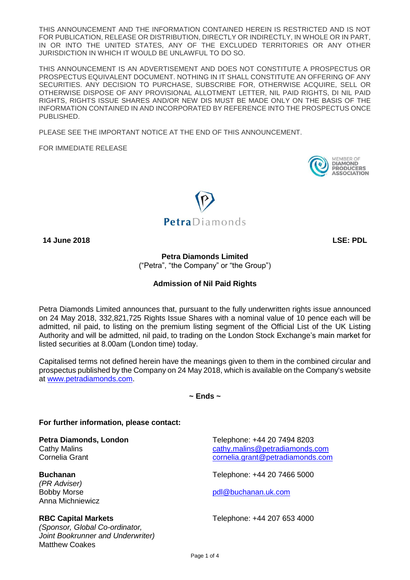THIS ANNOUNCEMENT AND THE INFORMATION CONTAINED HEREIN IS RESTRICTED AND IS NOT FOR PUBLICATION, RELEASE OR DISTRIBUTION, DIRECTLY OR INDIRECTLY, IN WHOLE OR IN PART, IN OR INTO THE UNITED STATES, ANY OF THE EXCLUDED TERRITORIES OR ANY OTHER JURISDICTION IN WHICH IT WOULD BE UNLAWFUL TO DO SO.

THIS ANNOUNCEMENT IS AN ADVERTISEMENT AND DOES NOT CONSTITUTE A PROSPECTUS OR PROSPECTUS EQUIVALENT DOCUMENT. NOTHING IN IT SHALL CONSTITUTE AN OFFERING OF ANY SECURITIES. ANY DECISION TO PURCHASE, SUBSCRIBE FOR, OTHERWISE ACQUIRE, SELL OR OTHERWISE DISPOSE OF ANY PROVISIONAL ALLOTMENT LETTER, NIL PAID RIGHTS, DI NIL PAID RIGHTS, RIGHTS ISSUE SHARES AND/OR NEW DIS MUST BE MADE ONLY ON THE BASIS OF THE INFORMATION CONTAINED IN AND INCORPORATED BY REFERENCE INTO THE PROSPECTUS ONCE PUBLISHED.

PLEASE SEE THE IMPORTANT NOTICE AT THE END OF THIS ANNOUNCEMENT.

FOR IMMEDIATE RELEASE





**14 June 2018 LSE: PDL**

**Petra Diamonds Limited**  ("Petra", "the Company" or "the Group")

# **Admission of Nil Paid Rights**

Petra Diamonds Limited announces that, pursuant to the fully underwritten rights issue announced on 24 May 2018, 332,821,725 Rights Issue Shares with a nominal value of 10 pence each will be admitted, nil paid, to listing on the premium listing segment of the Official List of the UK Listing Authority and will be admitted, nil paid, to trading on the London Stock Exchange's main market for listed securities at 8.00am (London time) today.

Capitalised terms not defined herein have the meanings given to them in the combined circular and prospectus published by the Company on 24 May 2018, which is available on the Company's website at [www.petradiamonds.com.](http://www.petradiamonds.com/)

**~ Ends ~**

## **For further information, please contact:**

**Petra Diamonds, London** Telephone: +44 20 7494 8203

*(PR Adviser)* Anna Michniewicz

*(Sponsor, Global Co-ordinator, Joint Bookrunner and Underwriter)* Matthew Coakes

Cathy Malins [cathy.malins@petradiamonds.com](mailto:cathy.malins@petradiamonds.com) Cornelia Grant [cornelia.grant@petradiamonds.com](mailto:cornelia.grant@petradiamonds.com)

**Buchanan** Telephone: +44 20 7466 5000

Bobby Morse **[pdl@buchanan.uk.com](mailto:pdl@buchanan.uk.com)** 

**RBC Capital Markets** Telephone: +44 207 653 4000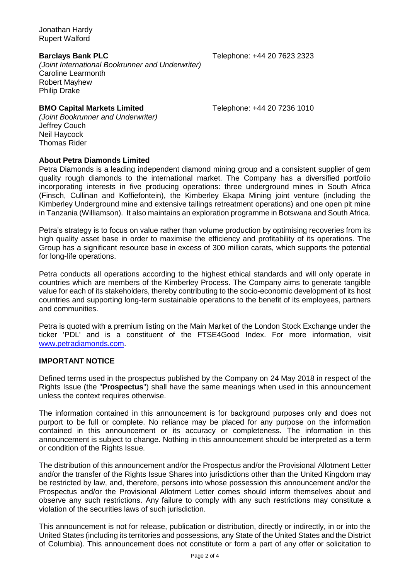Jonathan Hardy Rupert Walford

**Barclays Bank PLC** Telephone: +44 20 7623 2323

*(Joint International Bookrunner and Underwriter)* Caroline Learmonth Robert Mayhew Philip Drake

### **BMO Capital Markets Limited** Telephone: +44 20 7236 1010

*(Joint Bookrunner and Underwriter)* Jeffrey Couch Neil Haycock Thomas Rider

#### **About Petra Diamonds Limited**

Petra Diamonds is a leading independent diamond mining group and a consistent supplier of gem quality rough diamonds to the international market. The Company has a diversified portfolio incorporating interests in five producing operations: three underground mines in South Africa (Finsch, Cullinan and Koffiefontein), the Kimberley Ekapa Mining joint venture (including the Kimberley Underground mine and extensive tailings retreatment operations) and one open pit mine in Tanzania (Williamson). It also maintains an exploration programme in Botswana and South Africa.

Petra's strategy is to focus on value rather than volume production by optimising recoveries from its high quality asset base in order to maximise the efficiency and profitability of its operations. The Group has a significant resource base in excess of 300 million carats, which supports the potential for long-life operations.

Petra conducts all operations according to the highest ethical standards and will only operate in countries which are members of the Kimberley Process. The Company aims to generate tangible value for each of its stakeholders, thereby contributing to the socio-economic development of its host countries and supporting long-term sustainable operations to the benefit of its employees, partners and communities.

Petra is quoted with a premium listing on the Main Market of the London Stock Exchange under the ticker 'PDL' and is a constituent of the FTSE4Good Index. For more information, visit [www.petradiamonds.com.](http://www.petradiamonds.com/)

### **IMPORTANT NOTICE**

Defined terms used in the prospectus published by the Company on 24 May 2018 in respect of the Rights Issue (the "**Prospectus**") shall have the same meanings when used in this announcement unless the context requires otherwise.

The information contained in this announcement is for background purposes only and does not purport to be full or complete. No reliance may be placed for any purpose on the information contained in this announcement or its accuracy or completeness. The information in this announcement is subject to change. Nothing in this announcement should be interpreted as a term or condition of the Rights Issue.

The distribution of this announcement and/or the Prospectus and/or the Provisional Allotment Letter and/or the transfer of the Rights Issue Shares into jurisdictions other than the United Kingdom may be restricted by law, and, therefore, persons into whose possession this announcement and/or the Prospectus and/or the Provisional Allotment Letter comes should inform themselves about and observe any such restrictions. Any failure to comply with any such restrictions may constitute a violation of the securities laws of such jurisdiction.

This announcement is not for release, publication or distribution, directly or indirectly, in or into the United States (including its territories and possessions, any State of the United States and the District of Columbia). This announcement does not constitute or form a part of any offer or solicitation to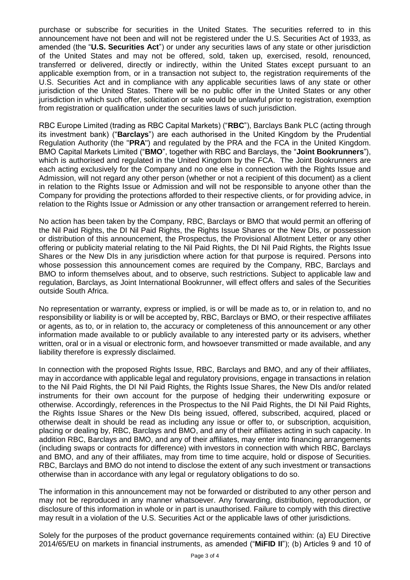purchase or subscribe for securities in the United States. The securities referred to in this announcement have not been and will not be registered under the U.S. Securities Act of 1933, as amended (the "**U.S. Securities Act**") or under any securities laws of any state or other jurisdiction of the United States and may not be offered, sold, taken up, exercised, resold, renounced, transferred or delivered, directly or indirectly, within the United States except pursuant to an applicable exemption from, or in a transaction not subject to, the registration requirements of the U.S. Securities Act and in compliance with any applicable securities laws of any state or other jurisdiction of the United States. There will be no public offer in the United States or any other jurisdiction in which such offer, solicitation or sale would be unlawful prior to registration, exemption from registration or qualification under the securities laws of such jurisdiction.

RBC Europe Limited (trading as RBC Capital Markets) ("**RBC**"), Barclays Bank PLC (acting through its investment bank) ("**Barclays**") are each authorised in the United Kingdom by the Prudential Regulation Authority (the "**PRA**") and regulated by the PRA and the FCA in the United Kingdom. BMO Capital Markets Limited ("**BMO**", together with RBC and Barclays, the "**Joint Bookrunners**"), which is authorised and regulated in the United Kingdom by the FCA. The Joint Bookrunners are each acting exclusively for the Company and no one else in connection with the Rights Issue and Admission, will not regard any other person (whether or not a recipient of this document) as a client in relation to the Rights Issue or Admission and will not be responsible to anyone other than the Company for providing the protections afforded to their respective clients, or for providing advice, in relation to the Rights Issue or Admission or any other transaction or arrangement referred to herein.

No action has been taken by the Company, RBC, Barclays or BMO that would permit an offering of the Nil Paid Rights, the DI Nil Paid Rights, the Rights Issue Shares or the New DIs, or possession or distribution of this announcement, the Prospectus, the Provisional Allotment Letter or any other offering or publicity material relating to the Nil Paid Rights, the DI Nil Paid Rights, the Rights Issue Shares or the New DIs in any jurisdiction where action for that purpose is required. Persons into whose possession this announcement comes are required by the Company, RBC, Barclays and BMO to inform themselves about, and to observe, such restrictions. Subject to applicable law and regulation, Barclays, as Joint International Bookrunner, will effect offers and sales of the Securities outside South Africa.

No representation or warranty, express or implied, is or will be made as to, or in relation to, and no responsibility or liability is or will be accepted by, RBC, Barclays or BMO, or their respective affiliates or agents, as to, or in relation to, the accuracy or completeness of this announcement or any other information made available to or publicly available to any interested party or its advisers, whether written, oral or in a visual or electronic form, and howsoever transmitted or made available, and any liability therefore is expressly disclaimed.

In connection with the proposed Rights Issue, RBC, Barclays and BMO, and any of their affiliates, may in accordance with applicable legal and regulatory provisions, engage in transactions in relation to the Nil Paid Rights, the DI Nil Paid Rights, the Rights Issue Shares, the New DIs and/or related instruments for their own account for the purpose of hedging their underwriting exposure or otherwise. Accordingly, references in the Prospectus to the Nil Paid Rights, the DI Nil Paid Rights, the Rights Issue Shares or the New DIs being issued, offered, subscribed, acquired, placed or otherwise dealt in should be read as including any issue or offer to, or subscription, acquisition, placing or dealing by, RBC, Barclays and BMO, and any of their affiliates acting in such capacity. In addition RBC, Barclays and BMO, and any of their affiliates, may enter into financing arrangements (including swaps or contracts for difference) with investors in connection with which RBC, Barclays and BMO, and any of their affiliates, may from time to time acquire, hold or dispose of Securities. RBC, Barclays and BMO do not intend to disclose the extent of any such investment or transactions otherwise than in accordance with any legal or regulatory obligations to do so.

The information in this announcement may not be forwarded or distributed to any other person and may not be reproduced in any manner whatsoever. Any forwarding, distribution, reproduction, or disclosure of this information in whole or in part is unauthorised. Failure to comply with this directive may result in a violation of the U.S. Securities Act or the applicable laws of other jurisdictions.

Solely for the purposes of the product governance requirements contained within: (a) EU Directive 2014/65/EU on markets in financial instruments, as amended ("**MiFID II**"); (b) Articles 9 and 10 of